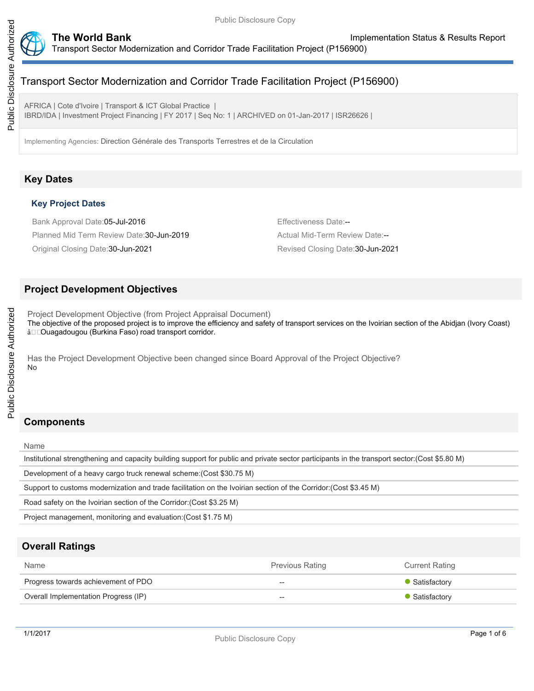

AFRICA | Cote d'Ivoire | Transport & ICT Global Practice | IBRD/IDA | Investment Project Financing | FY 2017 | Seq No: 1 | ARCHIVED on 01-Jan-2017 | ISR26626 |

Implementing Agencies: Direction Générale des Transports Terrestres et de la Circulation

# **Key Dates**

### **Key Project Dates**

Bank Approval Date:05-Jul-2016 **Effectiveness Date:--** Effectiveness Date:--Planned Mid Term Review Date: 30-Jun-2019 **Actual Mid-Term Review Date:--**Original Closing Date:30-Jun-2021 Revised Closing Date:30-Jun-2021

### **Project Development Objectives**

Project Development Objective (from Project Appraisal Document) The objective of the proposed project is to improve the efficiency and safety of transport services on the Ivoirian section of the Abidjan (Ivory Coast) â<sup>O</sup>Cuagadougou (Burkina Faso) road transport corridor.

Has the Project Development Objective been changed since Board Approval of the Project Objective? No

# **Components**

Name

Institutional strengthening and capacity building support for public and private sector participants in the transport sector:(Cost \$5.80 M)

Development of a heavy cargo truck renewal scheme:(Cost \$30.75 M)

Support to customs modernization and trade facilitation on the Ivoirian section of the Corridor:(Cost \$3.45 M)

Road safety on the Ivoirian section of the Corridor:(Cost \$3.25 M)

Project management, monitoring and evaluation:(Cost \$1.75 M)

# **Overall Ratings**

| Name                                 | <b>Previous Rating</b>   | <b>Current Rating</b> |
|--------------------------------------|--------------------------|-----------------------|
| Progress towards achievement of PDO  | $\overline{\phantom{m}}$ | • Satisfactory        |
| Overall Implementation Progress (IP) | $\overline{\phantom{m}}$ | • Satisfactory        |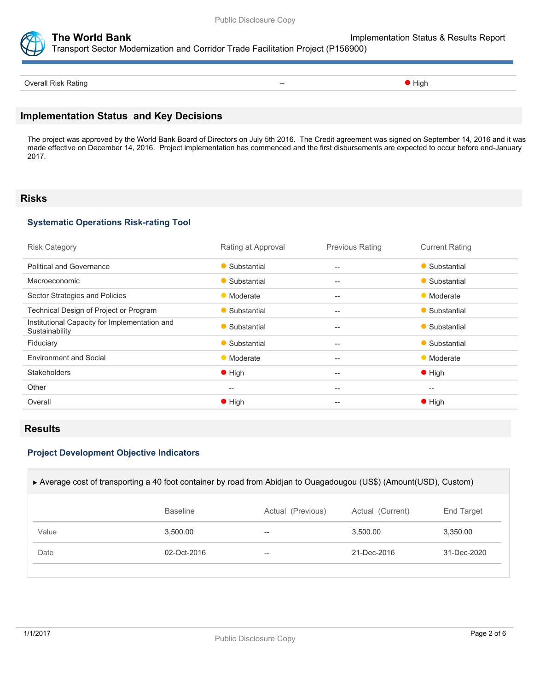

**The World Bank Implementation Status & Results Report** 

Transport Sector Modernization and Corridor Trade Facilitation Project (P156900)

Overall Risk Rating **Contract Contract Contract Contract Contract Contract Contract Contract Contract Contract Contract Contract Contract Contract Contract Contract Contract Contract Contract Contract Contract Contract Con** 

# **Implementation Status and Key Decisions**

The project was approved by the World Bank Board of Directors on July 5th 2016. The Credit agreement was signed on September 14, 2016 and it was made effective on December 14, 2016. Project implementation has commenced and the first disbursements are expected to occur before end-January 2017.

#### **Risks**

### **Systematic Operations Risk-rating Tool**

| <b>Risk Category</b>                                            | Rating at Approval | <b>Previous Rating</b> | <b>Current Rating</b> |
|-----------------------------------------------------------------|--------------------|------------------------|-----------------------|
| <b>Political and Governance</b>                                 | • Substantial      | $--$                   | • Substantial         |
| Macroeconomic                                                   | • Substantial      | --                     | • Substantial         |
| Sector Strategies and Policies                                  | • Moderate         | $--$                   | • Moderate            |
| Technical Design of Project or Program                          | • Substantial      | $--$                   | • Substantial         |
| Institutional Capacity for Implementation and<br>Sustainability | • Substantial      | --                     | • Substantial         |
| Fiduciary                                                       | • Substantial      | $--$                   | • Substantial         |
| <b>Environment and Social</b>                                   | • Moderate         | $- -$                  | • Moderate            |
| <b>Stakeholders</b>                                             | $\bullet$ High     | --                     | $\bullet$ High        |
| Other                                                           | --                 | --                     | $\hspace{0.05cm}$     |
| Overall                                                         | $\bullet$ High     | $- -$                  | $\bullet$ High        |
|                                                                 |                    |                        |                       |

### **Results**

#### **Project Development Objective Indicators**

| ► Average cost of transporting a 40 foot container by road from Abidjan to Ouagadougou (US\$) (Amount(USD), Custom) |                 |                   |                  |             |  |
|---------------------------------------------------------------------------------------------------------------------|-----------------|-------------------|------------------|-------------|--|
|                                                                                                                     | <b>Baseline</b> | Actual (Previous) | Actual (Current) | End Target  |  |
| Value                                                                                                               | 3.500.00        | --                | 3.500.00         | 3.350.00    |  |
| Date                                                                                                                | $02 - Oct-2016$ | --                | 21-Dec-2016      | 31-Dec-2020 |  |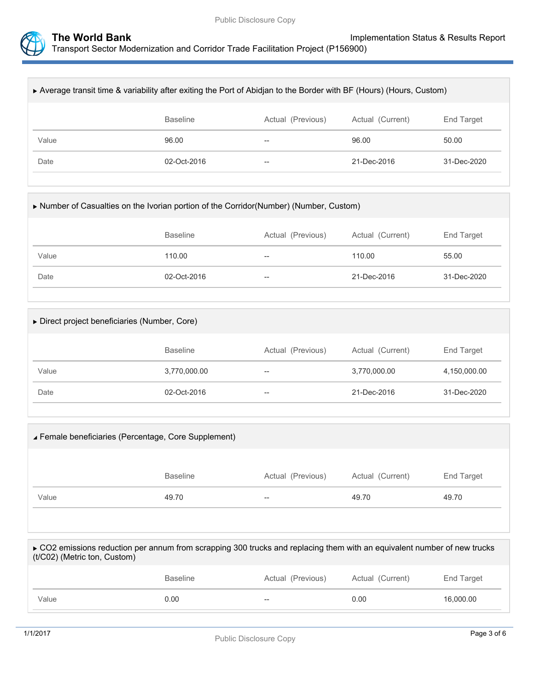

| ► Average transit time & variability after exiting the Port of Abidian to the Border with BF (Hours) (Hours, Custom) |                 |                   |                  |             |  |
|----------------------------------------------------------------------------------------------------------------------|-----------------|-------------------|------------------|-------------|--|
|                                                                                                                      | <b>Baseline</b> | Actual (Previous) | Actual (Current) | End Target  |  |
| Value                                                                                                                | 96.00           | --                | 96.00            | 50.00       |  |
| Date                                                                                                                 | 02-Oct-2016     | $- -$             | 21-Dec-2016      | 31-Dec-2020 |  |
|                                                                                                                      |                 |                   |                  |             |  |

| ► Number of Casualties on the Ivorian portion of the Corridor(Number) (Number, Custom) |                 |                   |                  |             |  |
|----------------------------------------------------------------------------------------|-----------------|-------------------|------------------|-------------|--|
|                                                                                        | <b>Baseline</b> | Actual (Previous) | Actual (Current) | End Target  |  |
| Value                                                                                  | 110.00          | $- -$             | 110.00           | 55.00       |  |
| Date                                                                                   | 02-Oct-2016     | $- -$             | 21-Dec-2016      | 31-Dec-2020 |  |
|                                                                                        |                 |                   |                  |             |  |

| $\triangleright$ Direct project beneficiaries (Number, Core) |                 |                   |                  |              |  |
|--------------------------------------------------------------|-----------------|-------------------|------------------|--------------|--|
|                                                              | <b>Baseline</b> | Actual (Previous) | Actual (Current) | End Target   |  |
| Value                                                        | 3,770,000.00    | $- -$             | 3,770,000.00     | 4,150,000.00 |  |
| Date                                                         | 02-Oct-2016     | $- -$             | 21-Dec-2016      | 31-Dec-2020  |  |
|                                                              |                 |                   |                  |              |  |

| <b>∡ Female beneficiaries (Percentage, Core Supplement)</b>                                                                                              |                 |                   |                  |            |
|----------------------------------------------------------------------------------------------------------------------------------------------------------|-----------------|-------------------|------------------|------------|
|                                                                                                                                                          | <b>Baseline</b> | Actual (Previous) | Actual (Current) | End Target |
| Value                                                                                                                                                    | 49.70           |                   | 49.70            | 49.70      |
|                                                                                                                                                          |                 |                   |                  |            |
| ► CO2 emissions reduction per annum from scrapping 300 trucks and replacing them with an equivalent number of new trucks<br>(t/C02) (Metric ton, Custom) |                 |                   |                  |            |

|       | <b>Baseline</b> | Actual (Previous) | Actual (Current) | End Target |
|-------|-----------------|-------------------|------------------|------------|
| Value | 0.00            | $- -$             | 0.00             | 16,000.00  |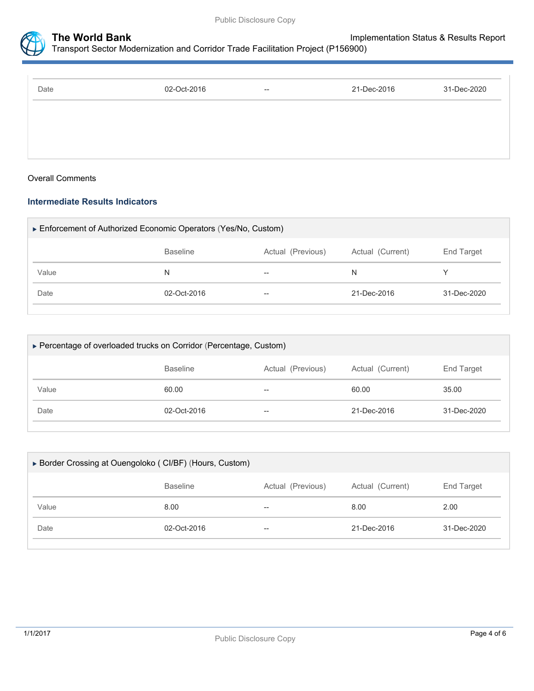



| Date | 02-Oct-2016 | $\hspace{0.05cm} \cdots$ | 21-Dec-2016 | 31-Dec-2020 |
|------|-------------|--------------------------|-------------|-------------|
|      |             |                          |             |             |
|      |             |                          |             |             |
|      |             |                          |             |             |

#### Overall Comments

### **Intermediate Results Indicators**

| Enforcement of Authorized Economic Operators (Yes/No, Custom) |                 |                   |                  |                   |  |
|---------------------------------------------------------------|-----------------|-------------------|------------------|-------------------|--|
|                                                               | <b>Baseline</b> | Actual (Previous) | Actual (Current) | End Target        |  |
| Value                                                         | N               | $- -$             | N                |                   |  |
| Date                                                          | 02-Oct-2016     | --                | 21-Dec-2016      | $31 - Dec - 2020$ |  |
|                                                               |                 |                   |                  |                   |  |

| ► Percentage of overloaded trucks on Corridor (Percentage, Custom) |                   |                  |                   |  |  |
|--------------------------------------------------------------------|-------------------|------------------|-------------------|--|--|
| <b>Baseline</b>                                                    | Actual (Previous) | Actual (Current) | <b>End Target</b> |  |  |
| 60.00                                                              | --                | 60.00            | 35.00             |  |  |
| 02-Oct-2016                                                        | $\hspace{0.05cm}$ | 21-Dec-2016      | 31-Dec-2020       |  |  |
|                                                                    |                   |                  |                   |  |  |

| ▶ Border Crossing at Ouengoloko (CI/BF) (Hours, Custom) |                 |                   |                  |             |  |
|---------------------------------------------------------|-----------------|-------------------|------------------|-------------|--|
|                                                         | <b>Baseline</b> | Actual (Previous) | Actual (Current) | End Target  |  |
| Value                                                   | 8.00            | $- -$             | 8.00             | 2.00        |  |
| Date                                                    | 02-Oct-2016     | $- -$             | 21-Dec-2016      | 31-Dec-2020 |  |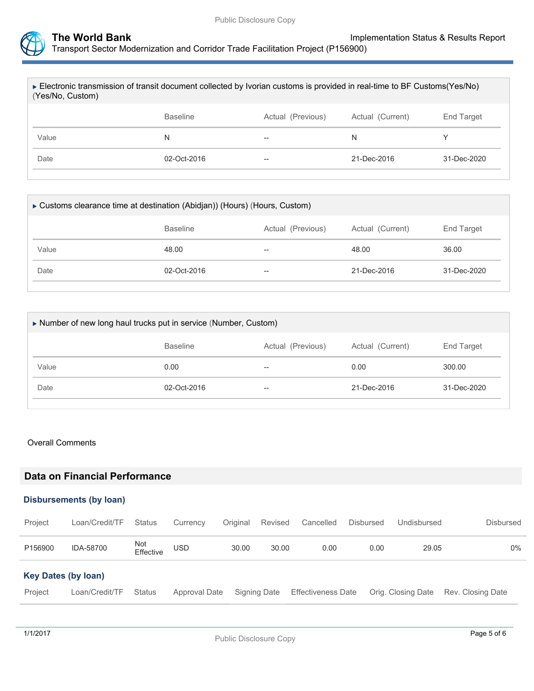

| ► Electronic transmission of transit document collected by Ivorian customs is provided in real-time to BF Customs(Yes/No)<br>(Yes/No, Custom) |                 |                   |                  |             |  |
|-----------------------------------------------------------------------------------------------------------------------------------------------|-----------------|-------------------|------------------|-------------|--|
|                                                                                                                                               | <b>Baseline</b> | Actual (Previous) | Actual (Current) | End Target  |  |
| Value                                                                                                                                         | N               | --                | N                |             |  |
| Date                                                                                                                                          | 02-Oct-2016     | --                | 21-Dec-2016      | 31-Dec-2020 |  |
|                                                                                                                                               |                 |                   |                  |             |  |

| ► Customs clearance time at destination (Abidjan)) (Hours) (Hours, Custom) |                 |                   |                  |             |  |  |
|----------------------------------------------------------------------------|-----------------|-------------------|------------------|-------------|--|--|
|                                                                            | <b>Baseline</b> | Actual (Previous) | Actual (Current) | End Target  |  |  |
| Value                                                                      | 48.00           | $- -$             | 48.00            | 36.00       |  |  |
| Date                                                                       | 02-Oct-2016     | --                | 21-Dec-2016      | 31-Dec-2020 |  |  |
|                                                                            |                 |                   |                  |             |  |  |

| Number of new long haul trucks put in service (Number, Custom) |                 |                   |                  |             |  |  |
|----------------------------------------------------------------|-----------------|-------------------|------------------|-------------|--|--|
|                                                                | <b>Baseline</b> | Actual (Previous) | Actual (Current) | End Target  |  |  |
| Value                                                          | 0.00            | $- -$             | 0.00             | 300.00      |  |  |
| Date                                                           | 02-Oct-2016     | $- -$             | 21-Dec-2016      | 31-Dec-2020 |  |  |
|                                                                |                 |                   |                  |             |  |  |

#### Overall Comments

# **Data on Financial Performance**

#### **Disbursements (by loan)**

| Project                    | Loan/Credit/TF | <b>Status</b>    | Currency      | Original | Revised      | Cancelled                 | <b>Disbursed</b> | Undisbursed        | <b>Disbursed</b>  |
|----------------------------|----------------|------------------|---------------|----------|--------------|---------------------------|------------------|--------------------|-------------------|
| P156900                    | IDA-58700      | Not<br>Effective | <b>USD</b>    | 30.00    | 30.00        | 0.00                      | 0.00             | 29.05              | 0%                |
| <b>Key Dates (by loan)</b> |                |                  |               |          |              |                           |                  |                    |                   |
| Project                    | Loan/Credit/TF | Status           | Approval Date |          | Signing Date | <b>Effectiveness Date</b> |                  | Orig. Closing Date | Rev. Closing Date |